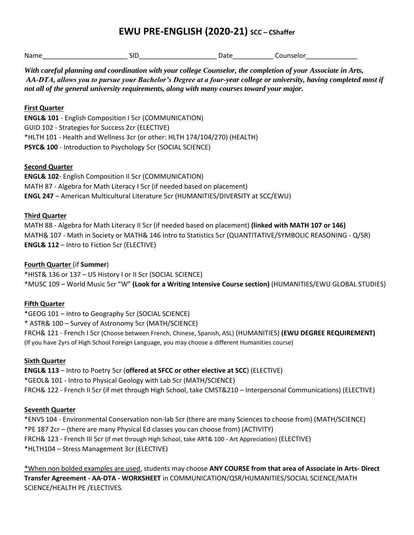# **EWU PRE-ENGLISH (2020-21) SCC – CShaffer**

| Name |  | - 1 - -<br>. |
|------|--|--------------|
|      |  |              |

*With careful planning and coordination with your college Counselor, the completion of your Associate in Arts, AA-DTA, allows you to pursue your Bachelor's Degree at a four-year college or university, having completed most if not all of the general university requirements, along with many courses toward your major.* 

### **First Quarter**

**ENGL& 101** - English Composition I 5cr (COMMUNICATION) GUID 102 - Strategies for Success 2cr (ELECTIVE) \*HLTH 101 - Health and Wellness 3cr (or other: HLTH 174/104/270) (HEALTH) **PSYC& 100** - Introduction to Psychology 5cr (SOCIAL SCIENCE)

#### **Second Quarter**

**ENGL& 102**- English Composition II 5cr (COMMUNICATION) MATH 87 - Algebra for Math Literacy I 5cr (if needed based on placement) **ENGL 247** – American Multicultural Literature 5cr (HUMANITIES/DIVERSITY at SCC/EWU)

#### **Third Quarter**

MATH 88 - Algebra for Math Literacy II 5cr (if needed based on placement) **(linked with MATH 107 or 146)** MATH& 107 - Math in Society or MATH& 146 Intro to Statistics 5cr (QUANTITATIVE/SYMBOLIC REASONING - Q/SR) **ENGL& 112** – Intro to Fiction 5cr (ELECTIVE)

#### **Fourth Quarter** (if **Summer**)

\*HIST& 136 or 137 – US History I or II 5cr (SOCIAL SCIENCE) \*MUSC 109 – World Music 5cr "W" **(Look for a Writing Intensive Course section)** (HUMANITIES/EWU GLOBAL STUDIES)

# **Fifth Quarter**

\*GEOG 101 – Intro to Geography 5cr (SOCIAL SCIENCE) \* ASTR& 100 – Survey of Astronomy 5cr (MATH/SCIENCE) FRCH& 121 - French I 5cr (Choose between French, Chinese, Spanish, ASL) (HUMANITIES) **(EWU DEGREE REQUIREMENT)** (If you have 2yrs of High School Foreign Language, you may choose a different Humanities course)

# **Sixth Quarter**

**ENGL& 113** – Intro to Poetry 5cr (**offered at SFCC or other elective at SCC**) (ELECTIVE) \*GEOL& 101 - Intro to Physical Geology with Lab 5cr (MATH/SCIENCE) FRCH& 122 - French II 5cr (if met through High School, take CMST&210 – Interpersonal Communications) (ELECTIVE)

#### **Seventh Quarter**

\*ENVS 104 - Environmental Conservation non-lab 5cr (there are many Sciences to choose from) (MATH/SCIENCE) \*PE 187 2cr – (there are many Physical Ed classes you can choose from) (ACTIVITY) FRCH& 123 - French III 5cr (if met through High School, take ART& 100 - Art Appreciation) (ELECTIVE) \*HLTH104 – Stress Management 3cr (ELECTIVE)

\*When non bolded examples are used, students may choose **ANY COURSE from that area of Associate in Arts- Direct Transfer Agreement - AA-DTA - WORKSHEET** in COMMUNICATION/QSR/HUMANITIES/SOCIAL SCIENCE/MATH SCIENCE/HEALTH PE /ELECTIVES.